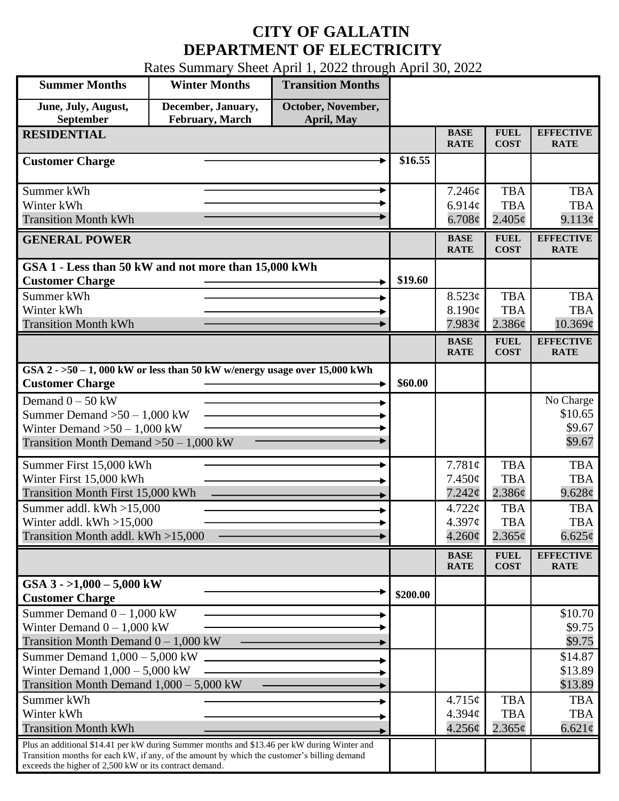## **CITY OF GALLATIN DEPARTMENT OF ELECTRICITY**

Rates Summary Sheet April 1, 2022 through April 30, 2022

| <b>Summer Months</b>                                                                                                                                                                                                                                 | <b>Winter Months</b>                  | <b>Transition Months</b>         |          |                                              |                                         |                                                        |
|------------------------------------------------------------------------------------------------------------------------------------------------------------------------------------------------------------------------------------------------------|---------------------------------------|----------------------------------|----------|----------------------------------------------|-----------------------------------------|--------------------------------------------------------|
| June, July, August,<br>September                                                                                                                                                                                                                     | December, January,<br>February, March | October, November,<br>April, May |          |                                              |                                         |                                                        |
| <b>RESIDENTIAL</b>                                                                                                                                                                                                                                   |                                       |                                  |          | <b>BASE</b><br><b>RATE</b>                   | <b>FUEL</b><br><b>COST</b>              | <b>EFFECTIVE</b><br><b>RATE</b>                        |
| <b>Customer Charge</b>                                                                                                                                                                                                                               |                                       |                                  | \$16.55  |                                              |                                         |                                                        |
| Summer kWh<br>Winter kWh<br><b>Transition Month kWh</b>                                                                                                                                                                                              |                                       |                                  |          | 7.246¢<br>6.914c<br>$6.708\phi$              | <b>TBA</b><br><b>TBA</b><br>$2.405\phi$ | <b>TBA</b><br><b>TBA</b><br>9.113¢                     |
| <b>GENERAL POWER</b>                                                                                                                                                                                                                                 |                                       |                                  |          | <b>BASE</b><br><b>RATE</b>                   | <b>FUEL</b><br><b>COST</b>              | <b>EFFECTIVE</b><br><b>RATE</b>                        |
| GSA 1 - Less than 50 kW and not more than 15,000 kWh<br><b>Customer Charge</b>                                                                                                                                                                       |                                       |                                  | \$19.60  |                                              |                                         |                                                        |
| Summer kWh<br>Winter kWh                                                                                                                                                                                                                             |                                       |                                  |          | 8.523¢<br>8.190¢                             | <b>TBA</b><br><b>TBA</b>                | <b>TBA</b><br><b>TBA</b>                               |
| <b>Transition Month kWh</b>                                                                                                                                                                                                                          |                                       |                                  |          | 7.983¢<br><b>BASE</b><br><b>RATE</b>         | 2.386¢<br><b>FUEL</b><br><b>COST</b>    | $10.369\mathcal{C}$<br><b>EFFECTIVE</b><br><b>RATE</b> |
| GSA $2 - 50 - 1$ , 000 kW or less than 50 kW w/energy usage over 15,000 kWh<br><b>Customer Charge</b>                                                                                                                                                |                                       |                                  | \$60.00  |                                              |                                         |                                                        |
| Demand $0 - 50$ kW<br>Summer Demand $>50 - 1,000$ kW<br>Winter Demand $>50-1,000$ kW<br>Transition Month Demand $>50-1,000$ kW                                                                                                                       |                                       |                                  |          |                                              |                                         | No Charge<br>\$10.65<br>\$9.67<br>\$9.67               |
| Summer First 15,000 kWh<br>Winter First 15,000 kWh<br>Transition Month First 15,000 kWh                                                                                                                                                              |                                       |                                  |          | 7.781¢<br>$7.450\phi$<br>7.242¢              | <b>TBA</b><br><b>TBA</b><br>2.386¢      | <b>TBA</b><br><b>TBA</b><br>9.628¢                     |
| Summer addl. $kWh > 15,000$<br>Winter addl. $kWh > 15,000$<br>Transition Month addl. kWh >15,000                                                                                                                                                     |                                       |                                  |          | $4.722 \mathcal{C}$<br>4.397c<br>$4.260\phi$ | <b>TBA</b><br><b>TBA</b><br>$2.365\phi$ | <b>TBA</b><br><b>TBA</b><br>$6.625\phi$                |
|                                                                                                                                                                                                                                                      |                                       |                                  |          | <b>BASE</b><br><b>RATE</b>                   | <b>FUEL</b><br><b>COST</b>              | <b>EFFECTIVE</b><br><b>RATE</b>                        |
| GSA $3 - 1,000 - 5,000$ kW<br><b>Customer Charge</b>                                                                                                                                                                                                 |                                       |                                  | \$200.00 |                                              |                                         |                                                        |
| Summer Demand $0 - 1,000$ kW<br>Winter Demand $0 - 1,000$ kW<br>Transition Month Demand $0 - 1,000$ kW                                                                                                                                               |                                       |                                  |          |                                              |                                         | \$10.70<br>\$9.75<br>\$9.75                            |
| Summer Demand $1,000 - 5,000$ kW<br>Winter Demand $1,000 - 5,000$ kW<br>Transition Month Demand $1,000 - 5,000$ kW                                                                                                                                   |                                       |                                  |          |                                              |                                         | \$14.87<br>\$13.89<br>\$13.89                          |
| Summer kWh<br>Winter kWh<br><b>Transition Month kWh</b>                                                                                                                                                                                              |                                       |                                  |          | $4.715\phi$<br>4.394c<br>4.256¢              | <b>TBA</b><br><b>TBA</b><br>$2.365\phi$ | <b>TBA</b><br><b>TBA</b><br>$6.621\phi$                |
| Plus an additional \$14.41 per kW during Summer months and \$13.46 per kW during Winter and<br>Transition months for each kW, if any, of the amount by which the customer's billing demand<br>exceeds the higher of 2,500 kW or its contract demand. |                                       |                                  |          |                                              |                                         |                                                        |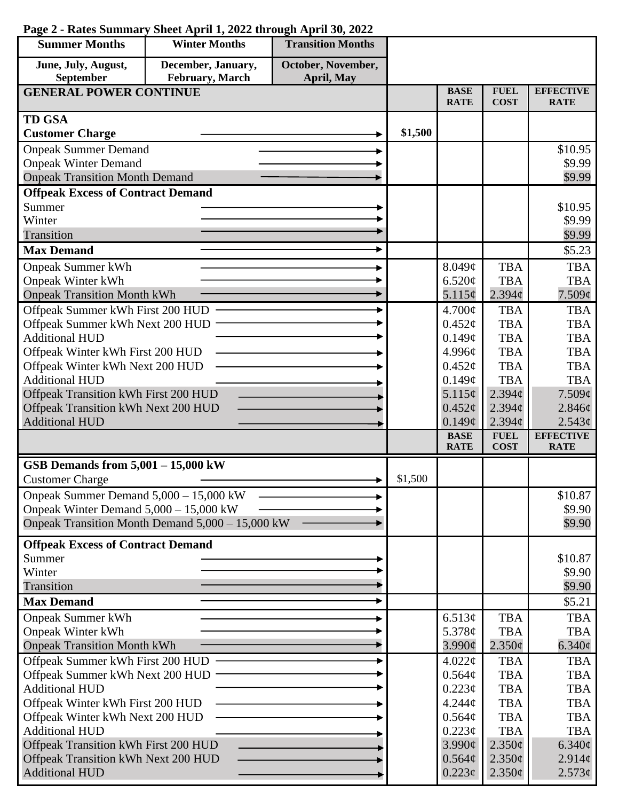| <b>Summer Months</b>                                                        | <b>Winter Months</b>                             | <b>Transition Months</b> |         |                                |                            |                                 |
|-----------------------------------------------------------------------------|--------------------------------------------------|--------------------------|---------|--------------------------------|----------------------------|---------------------------------|
| June, July, August,                                                         | December, January,                               | October, November,       |         |                                |                            |                                 |
| September                                                                   | February, March                                  | April, May               |         |                                |                            |                                 |
| <b>GENERAL POWER CONTINUE</b>                                               |                                                  |                          |         | <b>BASE</b><br><b>RATE</b>     | <b>FUEL</b><br><b>COST</b> | <b>EFFECTIVE</b><br><b>RATE</b> |
| <b>TD GSA</b>                                                               |                                                  |                          |         |                                |                            |                                 |
| <b>Customer Charge</b>                                                      |                                                  |                          | \$1,500 |                                |                            |                                 |
| <b>Onpeak Summer Demand</b>                                                 |                                                  |                          |         |                                |                            | \$10.95                         |
| <b>Onpeak Winter Demand</b>                                                 |                                                  |                          |         |                                |                            | \$9.99                          |
| <b>Onpeak Transition Month Demand</b>                                       |                                                  |                          |         |                                |                            | \$9.99                          |
| <b>Offpeak Excess of Contract Demand</b>                                    |                                                  |                          |         |                                |                            |                                 |
| Summer                                                                      |                                                  |                          |         |                                |                            | \$10.95                         |
| Winter                                                                      |                                                  |                          |         |                                |                            | \$9.99                          |
| Transition                                                                  |                                                  |                          |         |                                |                            | \$9.99                          |
| <b>Max Demand</b>                                                           |                                                  |                          |         |                                |                            | \$5.23                          |
| <b>Onpeak Summer kWh</b>                                                    |                                                  |                          |         | 8.049¢                         | <b>TBA</b>                 | <b>TBA</b>                      |
| <b>Onpeak Winter kWh</b>                                                    |                                                  |                          |         | 6.520¢                         | <b>TBA</b>                 | <b>TBA</b>                      |
| <b>Onpeak Transition Month kWh</b>                                          |                                                  |                          |         | 5.115¢                         | $2.394\ell$                | 7.509¢                          |
| Offpeak Summer kWh First 200 HUD                                            |                                                  |                          |         | 4.700¢                         | <b>TBA</b>                 | <b>TBA</b>                      |
| Offpeak Summer kWh Next 200 HUD                                             |                                                  |                          |         | $0.452\varphi$                 | <b>TBA</b>                 | <b>TBA</b>                      |
| <b>Additional HUD</b>                                                       |                                                  |                          |         | 0.149¢                         | <b>TBA</b>                 | <b>TBA</b>                      |
| Offpeak Winter kWh First 200 HUD                                            |                                                  |                          |         | 4.996¢                         | <b>TBA</b>                 | <b>TBA</b>                      |
| Offpeak Winter kWh Next 200 HUD                                             |                                                  |                          |         | $0.452\mathcal{C}$             | <b>TBA</b>                 | <b>TBA</b>                      |
| <b>Additional HUD</b>                                                       |                                                  |                          |         | 0.149¢                         | <b>TBA</b>                 | <b>TBA</b>                      |
| Offpeak Transition kWh First 200 HUD                                        |                                                  |                          |         | $5.115\phi$                    | $2.394\ell$                | $7.509\ell$                     |
| Offpeak Transition kWh Next 200 HUD<br><b>Additional HUD</b>                |                                                  |                          |         | $0.452\ell$<br>$0.149\ell$     | $2.394\phi$<br>2.394c      | $2.846\ell$<br>2.543¢           |
|                                                                             |                                                  |                          |         | <b>BASE</b>                    | <b>FUEL</b>                | <b>EFFECTIVE</b>                |
|                                                                             |                                                  |                          |         | <b>RATE</b>                    | <b>COST</b>                | <b>RATE</b>                     |
| GSB Demands from $5,001 - 15,000$ kW                                        |                                                  |                          |         |                                |                            |                                 |
| <b>Customer Charge</b>                                                      |                                                  |                          | \$1,500 |                                |                            |                                 |
| Onpeak Summer Demand 5,000 - 15,000 kW                                      |                                                  |                          |         |                                |                            | \$10.87                         |
| Onpeak Winter Demand $5,000 - 15,000$ kW                                    |                                                  |                          |         |                                |                            | \$9.90                          |
|                                                                             | Onpeak Transition Month Demand 5,000 - 15,000 kW |                          |         |                                |                            | \$9.90                          |
| <b>Offpeak Excess of Contract Demand</b>                                    |                                                  |                          |         |                                |                            |                                 |
| Summer                                                                      |                                                  |                          |         |                                |                            | \$10.87                         |
| Winter                                                                      |                                                  |                          |         |                                |                            | \$9.90                          |
| Transition                                                                  |                                                  |                          |         |                                |                            | \$9.90                          |
| <b>Max Demand</b>                                                           |                                                  |                          |         |                                |                            | \$5.21                          |
| <b>Onpeak Summer kWh</b>                                                    |                                                  |                          |         | 6.513¢                         | <b>TBA</b>                 | <b>TBA</b>                      |
| Onpeak Winter kWh                                                           |                                                  |                          |         | 5.378¢                         | <b>TBA</b>                 | <b>TBA</b>                      |
| <b>Onpeak Transition Month kWh</b>                                          |                                                  |                          |         | $3.990\ell$                    | $2.350\phi$                | $6.340\phi$                     |
| Offpeak Summer kWh First 200 HUD                                            |                                                  |                          |         | 4.022¢                         | <b>TBA</b>                 | <b>TBA</b>                      |
| Offpeak Summer kWh Next 200 HUD                                             |                                                  |                          |         | 0.564¢                         | <b>TBA</b>                 | <b>TBA</b>                      |
| <b>Additional HUD</b>                                                       |                                                  |                          |         | 0.223¢                         | <b>TBA</b>                 | <b>TBA</b>                      |
| Offpeak Winter kWh First 200 HUD                                            |                                                  |                          |         | 4.244¢                         | <b>TBA</b>                 | <b>TBA</b>                      |
| Offpeak Winter kWh Next 200 HUD                                             |                                                  |                          |         | 0.564¢                         | <b>TBA</b>                 | <b>TBA</b>                      |
| <b>Additional HUD</b>                                                       |                                                  |                          |         | $0.223\phi$                    | <b>TBA</b>                 | <b>TBA</b>                      |
| Offpeak Transition kWh First 200 HUD<br>Offpeak Transition kWh Next 200 HUD |                                                  |                          |         | $3.990\ell$                    | $2.350\ell$                | $6.340\ell$                     |
| <b>Additional HUD</b>                                                       |                                                  |                          |         | $0.564\phi$<br>$0.223\epsilon$ | $2.350\phi$<br>$2.350\phi$ | $2.914\phi$<br>$2.573\phi$      |
|                                                                             |                                                  |                          |         |                                |                            |                                 |

## **Page 2 - Rates Summary Sheet April 1, 2022 through April 30, 2022**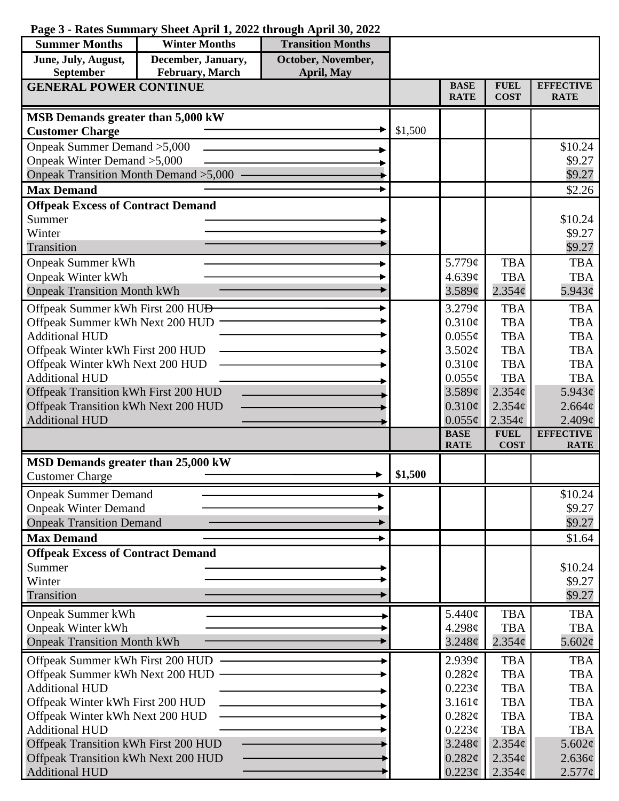## **Page 3 - Rates Summary Sheet April 1, 2022 through April 30, 2022**

| <b>Summer Months</b>                                                        | <b>Winter Months</b> | <b>Transition Months</b> |         |                            |                            |                                 |
|-----------------------------------------------------------------------------|----------------------|--------------------------|---------|----------------------------|----------------------------|---------------------------------|
| June, July, August,                                                         | December, January,   | October, November,       |         |                            |                            |                                 |
| February, March<br>September<br>April, May<br><b>GENERAL POWER CONTINUE</b> |                      |                          |         |                            |                            |                                 |
|                                                                             |                      |                          |         | <b>BASE</b><br><b>RATE</b> | <b>FUEL</b><br><b>COST</b> | <b>EFFECTIVE</b><br><b>RATE</b> |
| MSB Demands greater than 5,000 kW                                           |                      |                          |         |                            |                            |                                 |
| <b>Customer Charge</b>                                                      |                      |                          | \$1,500 |                            |                            |                                 |
| Onpeak Summer Demand > 5,000                                                |                      |                          |         |                            |                            | \$10.24                         |
| Onpeak Winter Demand > 5,000                                                |                      |                          |         |                            |                            | \$9.27                          |
| Onpeak Transition Month Demand > 5,000                                      |                      |                          |         |                            |                            | \$9.27                          |
| <b>Max Demand</b>                                                           |                      |                          |         |                            |                            | \$2.26                          |
| <b>Offpeak Excess of Contract Demand</b>                                    |                      |                          |         |                            |                            |                                 |
| Summer                                                                      |                      |                          |         |                            |                            | \$10.24                         |
| Winter                                                                      |                      |                          |         |                            |                            | \$9.27                          |
| Transition                                                                  |                      |                          |         |                            |                            | \$9.27                          |
| <b>Onpeak Summer kWh</b>                                                    |                      |                          |         | 5.779¢                     | <b>TBA</b>                 | <b>TBA</b>                      |
| <b>Onpeak Winter kWh</b>                                                    |                      |                          |         | 4.639¢                     | <b>TBA</b>                 | <b>TBA</b>                      |
| <b>Onpeak Transition Month kWh</b>                                          |                      |                          |         | 3.589¢                     | $2.354\phi$                | 5.943¢                          |
| Offpeak Summer kWh First 200 HU <del>D</del>                                |                      |                          |         | $3.279\mathcal{C}$         | <b>TBA</b>                 | <b>TBA</b>                      |
| Offpeak Summer kWh Next 200 HUD                                             |                      |                          |         | 0.310¢                     | <b>TBA</b>                 | <b>TBA</b>                      |
| <b>Additional HUD</b>                                                       |                      |                          |         | $0.055\phi$                | <b>TBA</b>                 | <b>TBA</b>                      |
| Offpeak Winter kWh First 200 HUD                                            |                      |                          |         | 3.502¢<br>$0.310\phi$      | <b>TBA</b><br><b>TBA</b>   | <b>TBA</b><br><b>TBA</b>        |
| Offpeak Winter kWh Next 200 HUD<br><b>Additional HUD</b>                    |                      |                          |         | $0.055\phi$                | <b>TBA</b>                 | <b>TBA</b>                      |
| Offpeak Transition kWh First 200 HUD                                        |                      |                          |         | 3.589¢                     | 2.354c                     | $5.943\ell$                     |
| Offpeak Transition kWh Next 200 HUD                                         |                      |                          |         | 0.310¢                     | 2.354¢                     | $2.664\phi$                     |
| <b>Additional HUD</b>                                                       |                      |                          |         | $0.055\phi$                | $2.354\phi$                | $2.409\ell$                     |
|                                                                             |                      |                          |         | <b>BASE</b>                | <b>FUEL</b>                | <b>EFFECTIVE</b>                |
|                                                                             |                      |                          |         | <b>RATE</b>                | <b>COST</b>                | <b>RATE</b>                     |
| MSD Demands greater than 25,000 kW                                          |                      |                          | \$1,500 |                            |                            |                                 |
| <b>Customer Charge</b>                                                      |                      |                          |         |                            |                            |                                 |
| <b>Onpeak Summer Demand</b>                                                 |                      |                          |         |                            |                            | \$10.24                         |
| <b>Onpeak Winter Demand</b>                                                 |                      |                          |         |                            |                            | \$9.27                          |
| <b>Onpeak Transition Demand</b>                                             |                      |                          |         |                            |                            | \$9.27                          |
| <b>Max Demand</b>                                                           |                      |                          |         |                            |                            | \$1.64                          |
| <b>Offpeak Excess of Contract Demand</b>                                    |                      |                          |         |                            |                            |                                 |
| Summer                                                                      |                      |                          |         |                            |                            | \$10.24                         |
| Winter                                                                      |                      |                          |         |                            |                            | \$9.27                          |
| Transition                                                                  |                      |                          |         |                            |                            | \$9.27                          |
| <b>Onpeak Summer kWh</b>                                                    |                      |                          |         | 5.440¢                     | <b>TBA</b>                 | <b>TBA</b>                      |
| <b>Onpeak Winter kWh</b>                                                    |                      |                          |         | 4.298c                     | <b>TBA</b>                 | <b>TBA</b>                      |
| <b>Onpeak Transition Month kWh</b>                                          |                      |                          |         | 3.248 <sub>¢</sub>         | $2.354\phi$                | 5.602 $\phi$                    |
| Offpeak Summer kWh First 200 HUD                                            |                      |                          |         | $2.939\mathcal{C}$         | <b>TBA</b>                 | <b>TBA</b>                      |
| Offpeak Summer kWh Next 200 HUD -                                           |                      |                          |         | $0.282\ell$                | <b>TBA</b>                 | <b>TBA</b>                      |
| <b>Additional HUD</b>                                                       |                      |                          |         | $0.223\phi$                | <b>TBA</b>                 | <b>TBA</b>                      |
| Offpeak Winter kWh First 200 HUD<br>Offpeak Winter kWh Next 200 HUD         |                      |                          |         | 3.161¢<br>0.282¢           | <b>TBA</b><br><b>TBA</b>   | <b>TBA</b><br><b>TBA</b>        |
| <b>Additional HUD</b>                                                       |                      |                          |         | $0.223\phi$                | <b>TBA</b>                 | <b>TBA</b>                      |
| Offpeak Transition kWh First 200 HUD                                        |                      |                          |         | 3.248¢                     | 2.354¢                     | $5.602\phi$                     |
| Offpeak Transition kWh Next 200 HUD                                         |                      |                          |         | 0.282¢                     | $2.354\phi$                | $2.636\phi$                     |
| <b>Additional HUD</b>                                                       |                      |                          |         | $0.223\phi$                | 2.354¢                     | $2.577\phi$                     |